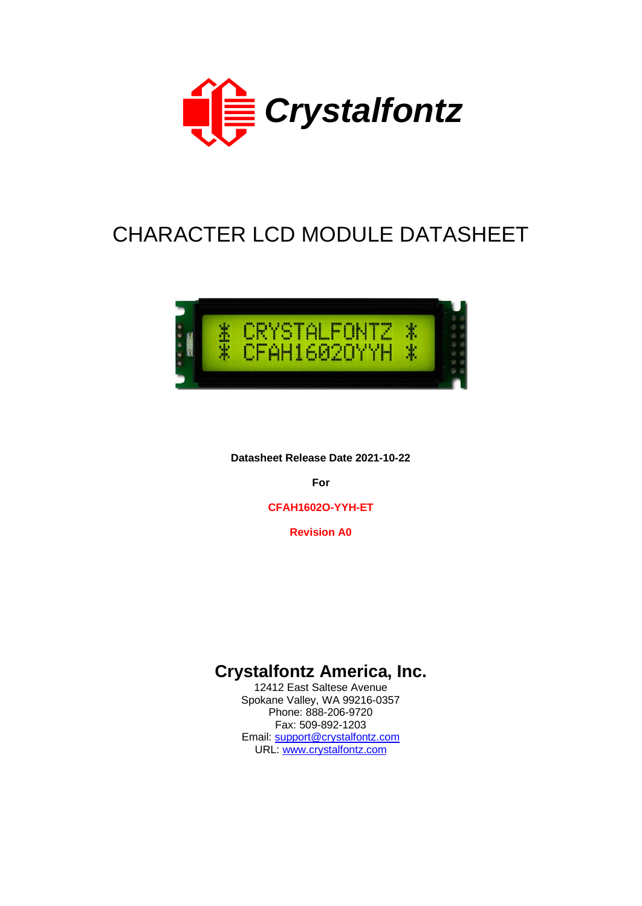

# CHARACTER LCD MODULE DATASHEET



**Datasheet Release Date 2021-10-22**

**For**

**CFAH1602O-YYH-ET**

**Revision A0**

# **Crystalfontz America, Inc.**

12412 East Saltese Avenue Spokane Valley, WA 99216-0357 Phone: 888-206-9720 Fax: 509-892-1203 Email: [support@crystalfontz.com](mailto:support@crystalfontz.com) URL: [www.crystalfontz.com](http://www.crystalfontz.com/)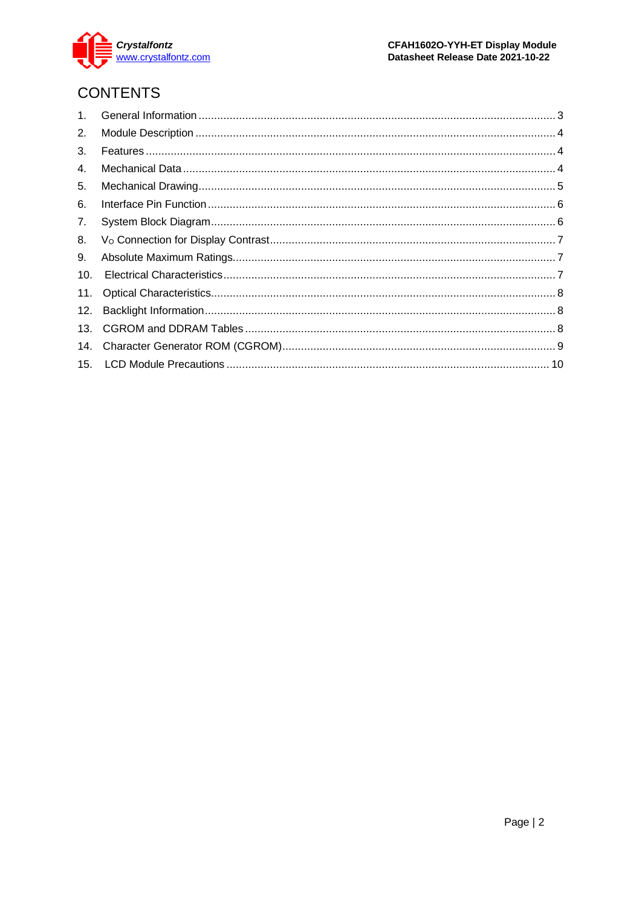

# **CONTENTS**

| 2.  |  |
|-----|--|
| 3.  |  |
| 4.  |  |
| 5.  |  |
| 6.  |  |
| 7.  |  |
| 8.  |  |
| 9.  |  |
| 10. |  |
| 11. |  |
| 12. |  |
| 13. |  |
| 14. |  |
|     |  |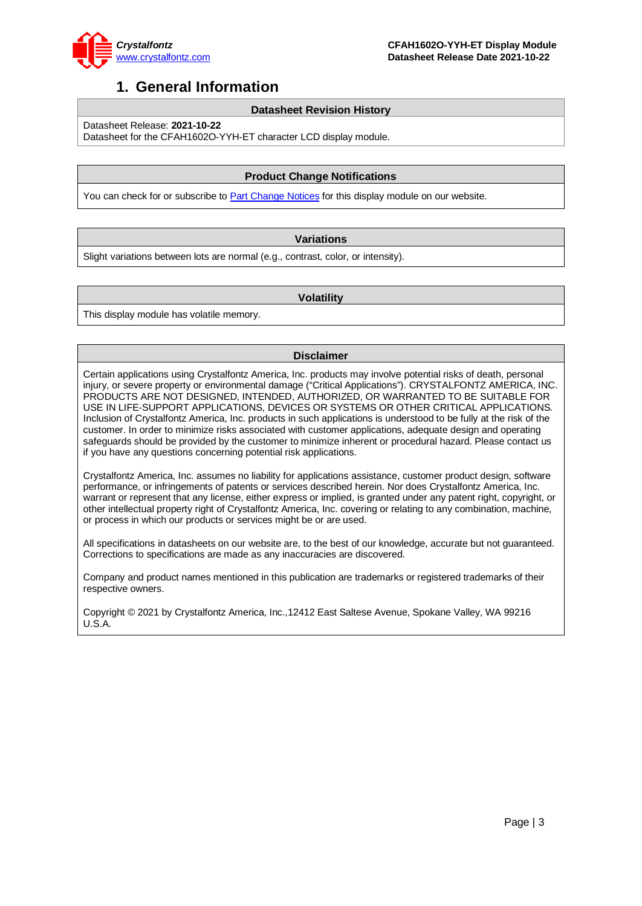

### <span id="page-2-0"></span>**1. General Information**

#### **Datasheet Revision History**

Datasheet Release: **2021-10-22**

Datasheet for the CFAH1602O-YYH-ET character LCD display module.

#### **Product Change Notifications**

You can check for or subscribe to **Part Change Notices** for this display module on our website.

#### **Variations**

Slight variations between lots are normal (e.g., contrast, color, or intensity).

#### **Volatility**

This display module has volatile memory.

#### **Disclaimer**

Certain applications using Crystalfontz America, Inc. products may involve potential risks of death, personal injury, or severe property or environmental damage ("Critical Applications"). CRYSTALFONTZ AMERICA, INC. PRODUCTS ARE NOT DESIGNED, INTENDED, AUTHORIZED, OR WARRANTED TO BE SUITABLE FOR USE IN LIFE-SUPPORT APPLICATIONS, DEVICES OR SYSTEMS OR OTHER CRITICAL APPLICATIONS. Inclusion of Crystalfontz America, Inc. products in such applications is understood to be fully at the risk of the customer. In order to minimize risks associated with customer applications, adequate design and operating safeguards should be provided by the customer to minimize inherent or procedural hazard. Please contact us if you have any questions concerning potential risk applications.

Crystalfontz America, Inc. assumes no liability for applications assistance, customer product design, software performance, or infringements of patents or services described herein. Nor does Crystalfontz America, Inc. warrant or represent that any license, either express or implied, is granted under any patent right, copyright, or other intellectual property right of Crystalfontz America, Inc. covering or relating to any combination, machine, or process in which our products or services might be or are used.

All specifications in datasheets on our website are, to the best of our knowledge, accurate but not guaranteed. Corrections to specifications are made as any inaccuracies are discovered.

Company and product names mentioned in this publication are trademarks or registered trademarks of their respective owners.

Copyright © 2021 by Crystalfontz America, Inc.,12412 East Saltese Avenue, Spokane Valley, WA 99216 U.S.A.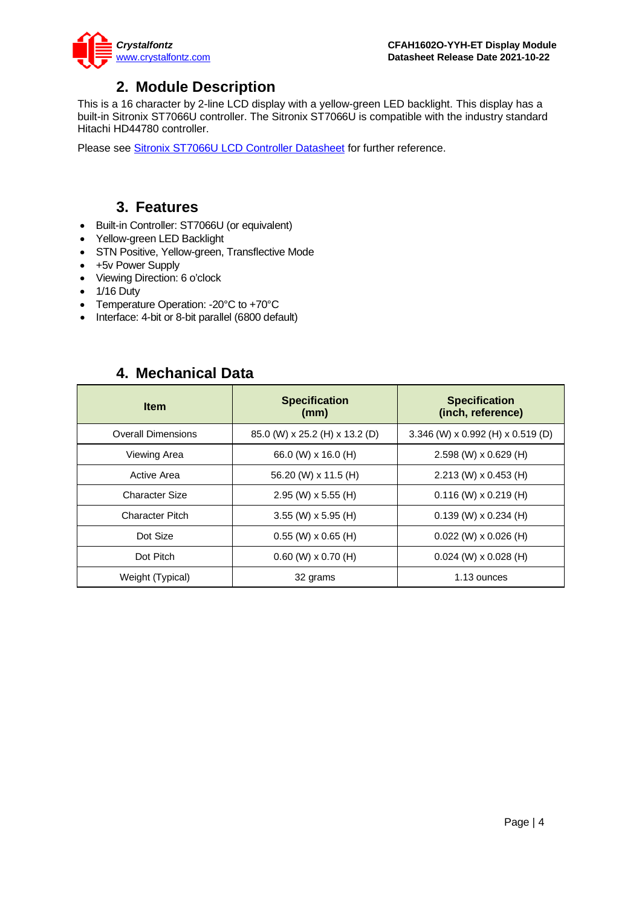

### **2. Module Description**

<span id="page-3-0"></span>This is a 16 character by 2-line LCD display with a yellow-green LED backlight. This display has a built-in Sitronix ST7066U controller. The Sitronix ST7066U is compatible with the industry standard Hitachi HD44780 controller.

Please see [Sitronix ST7066U LCD Controller Datasheet](https://www.crystalfontz.com/controllers/Sitronix/ST7066U) for further reference.

### **3. Features**

- <span id="page-3-1"></span>• Built-in Controller: ST7066U (or equivalent)
- Yellow-green LED Backlight
- STN Positive, Yellow-green, Transflective Mode
- +5v Power Supply
- Viewing Direction: 6 o'clock
- 1/16 Duty
- Temperature Operation: -20°C to +70°C
- Interface: 4-bit or 8-bit parallel (6800 default)

### **4. Mechanical Data**

<span id="page-3-2"></span>

| <b>Item</b>               | <b>Specification</b><br>(mm)   | <b>Specification</b><br>(inch, reference) |  |  |  |  |
|---------------------------|--------------------------------|-------------------------------------------|--|--|--|--|
| <b>Overall Dimensions</b> | 85.0 (W) x 25.2 (H) x 13.2 (D) | 3.346 (W) x 0.992 (H) x 0.519 (D)         |  |  |  |  |
| Viewing Area              | 66.0 (W) x 16.0 (H)            | 2.598 (W) x 0.629 (H)                     |  |  |  |  |
| <b>Active Area</b>        | 56.20 (W) x 11.5 (H)           | $2.213$ (W) x 0.453 (H)                   |  |  |  |  |
| Character Size            | $2.95$ (W) x 5.55 (H)          | $0.116$ (W) x 0.219 (H)                   |  |  |  |  |
| <b>Character Pitch</b>    | $3.55$ (W) x 5.95 (H)          | $0.139$ (W) x $0.234$ (H)                 |  |  |  |  |
| Dot Size                  | $0.55$ (W) x $0.65$ (H)        | $0.022$ (W) x $0.026$ (H)                 |  |  |  |  |
| Dot Pitch                 | $0.60$ (W) $\times$ 0.70 (H)   | $0.024$ (W) x $0.028$ (H)                 |  |  |  |  |
| Weight (Typical)          | 32 grams                       | 1.13 ounces                               |  |  |  |  |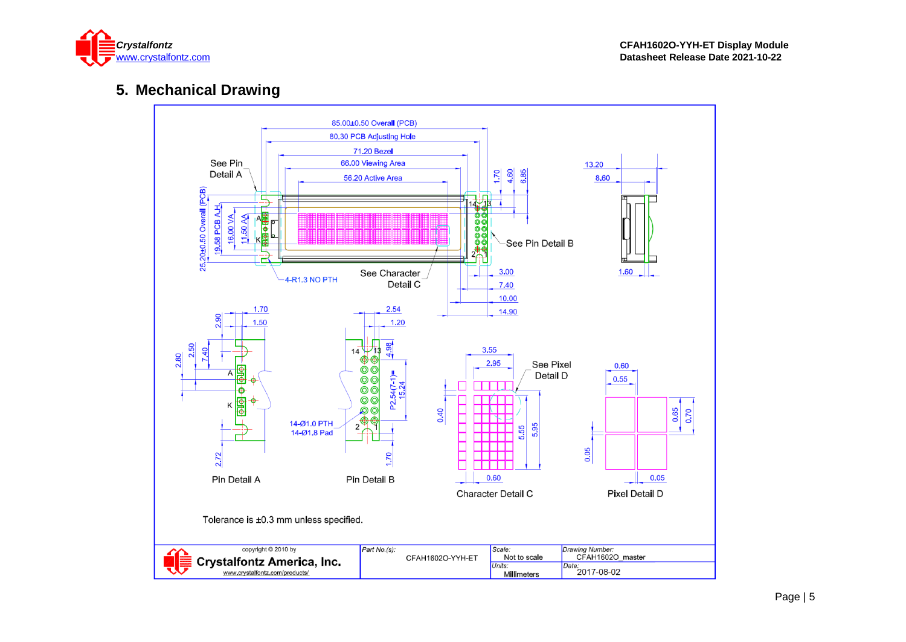

### **5. Mechanical Drawing**

<span id="page-4-0"></span>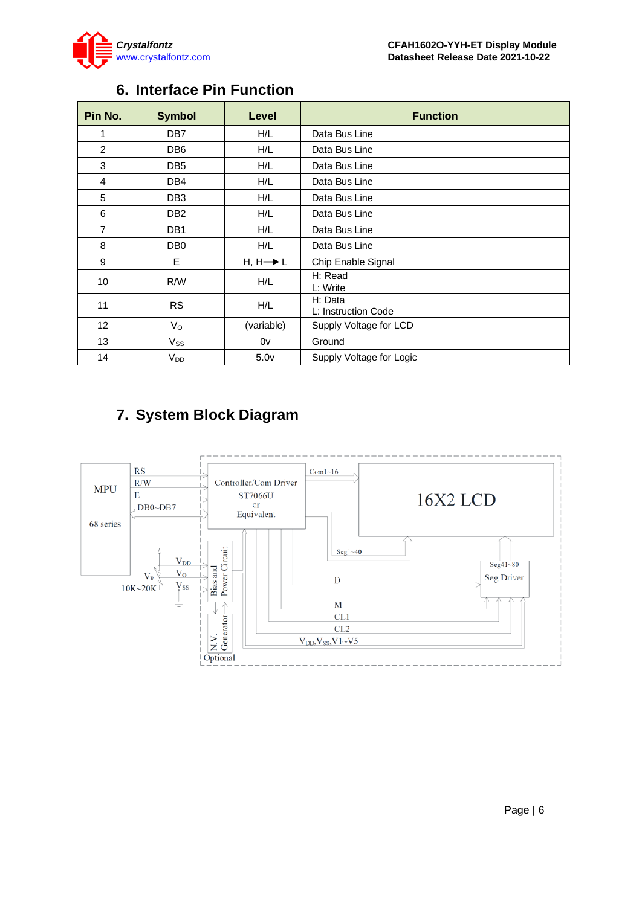

<span id="page-5-0"></span>

| Pin No.        | <b>Symbol</b>   | Level                | <b>Function</b>                |
|----------------|-----------------|----------------------|--------------------------------|
|                | DB <sub>7</sub> | H/L                  | Data Bus Line                  |
| $\overline{2}$ | DB <sub>6</sub> | H/L                  | Data Bus Line                  |
| 3              | DB <sub>5</sub> | H/L                  | Data Bus Line                  |
| 4              | DB <sub>4</sub> | H/L                  | Data Bus Line                  |
| 5              | DB <sub>3</sub> | H/L                  | Data Bus Line                  |
| 6              | DB <sub>2</sub> | H/L                  | Data Bus Line                  |
| $\overline{7}$ | DB <sub>1</sub> | H/L                  | Data Bus Line                  |
| 8              | DB <sub>0</sub> | H/L                  | Data Bus Line                  |
| 9              | E               | $H, H \rightarrow L$ | Chip Enable Signal             |
| 10             | R/W             | H/L                  | H: Read<br>L: Write            |
| 11             | <b>RS</b>       | H/L                  | H: Data<br>L: Instruction Code |
| 12             | $V_{\rm O}$     | (variable)           | Supply Voltage for LCD         |
| 13             | $V_{SS}$        | 0v                   | Ground                         |
| 14             | V <sub>DD</sub> | 5.0 <sub>V</sub>     | Supply Voltage for Logic       |

# **6. Interface Pin Function**

# <span id="page-5-1"></span>**7. System Block Diagram**

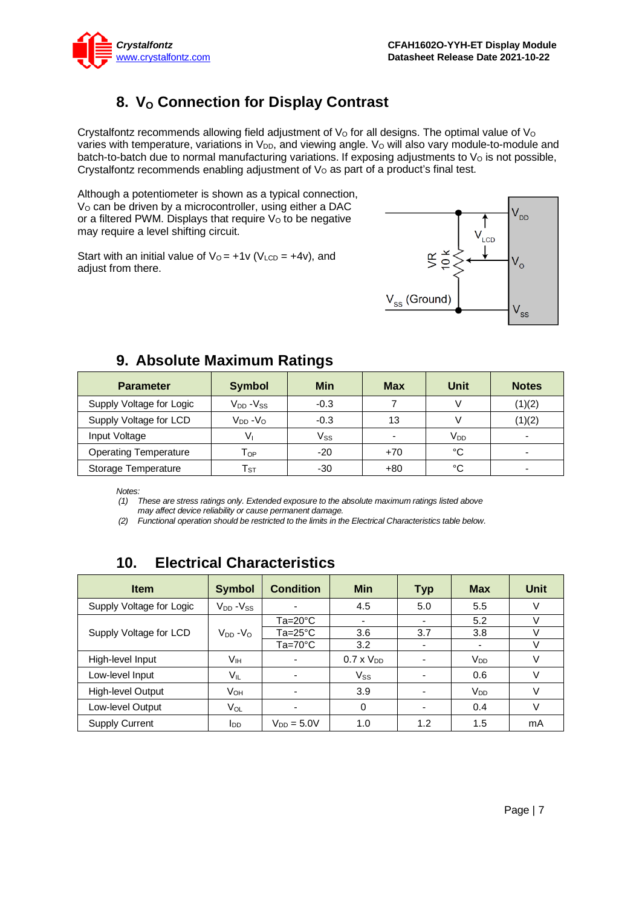

# 8. **V<sub>o</sub> Connection for Display Contrast**

<span id="page-6-0"></span>Crystalfontz recommends allowing field adjustment of  $V<sub>O</sub>$  for all designs. The optimal value of  $V<sub>O</sub>$ varies with temperature, variations in V<sub>DD</sub>, and viewing angle. V<sub>o</sub> will also vary module-to-module and batch-to-batch due to normal manufacturing variations. If exposing adjustments to  $V<sub>O</sub>$  is not possible, Crystalfontz recommends enabling adjustment of  $V<sub>O</sub>$  as part of a product's final test.

Although a potentiometer is shown as a typical connection, V<sub>o</sub> can be driven by a microcontroller, using either a DAC or a filtered PWM. Displays that require  $V<sub>o</sub>$  to be negative may require a level shifting circuit.

Start with an initial value of  $V_0 = +1v$  (V<sub>LCD</sub> = +4v), and adjust from there.



# **9. Absolute Maximum Ratings**

<span id="page-6-1"></span>

| <b>Parameter</b>             | <b>Symbol</b>              | <b>Min</b> | <b>Max</b>               | Unit            | <b>Notes</b> |
|------------------------------|----------------------------|------------|--------------------------|-----------------|--------------|
| Supply Voltage for Logic     | $V_{DD} - V_{SS}$          | $-0.3$     |                          |                 | (1)(2)       |
| Supply Voltage for LCD       | $V_{DD} - V_{O}$           | $-0.3$     | 13                       |                 | (1)(2)       |
| Input Voltage                | Vı                         | $V_{SS}$   | $\overline{\phantom{a}}$ | V <sub>DD</sub> |              |
| <b>Operating Temperature</b> | Тор                        | $-20$      | $+70$                    | °C              |              |
| Storage Temperature          | $\mathsf{T}_{\texttt{ST}}$ | -30        | +80                      | °C              |              |

*Notes:*

*(1) These are stress ratings only. Extended exposure to the absolute maximum ratings listed above may affect device reliability or cause permanent damage.* 

*(2) Functional operation should be restricted to the limits in the Electrical Characteristics table below.*

<span id="page-6-2"></span>

| <b>Electrical Characteristics</b><br>10. |                                 |                    |                |            |               |               |  |  |  |  |  |  |  |
|------------------------------------------|---------------------------------|--------------------|----------------|------------|---------------|---------------|--|--|--|--|--|--|--|
| <b>Item</b>                              | <b>Symbol</b>                   | <b>Condition</b>   | Min            | <b>Typ</b> | <b>Max</b>    | Unit          |  |  |  |  |  |  |  |
| Supply Voltage for Logic                 | $V_{DD}$ - $V_{SS}$             |                    | 4.5            | 5.0        | 5.5           |               |  |  |  |  |  |  |  |
|                                          |                                 | $Ta=20^{\circ}C$   |                |            | 5.2           |               |  |  |  |  |  |  |  |
| Supply Voltage for LCD                   | V <sub>DD</sub> -V <sub>O</sub> | $Ta = 25^{\circ}C$ | 3.6            | 3.7        | 3.8           |               |  |  |  |  |  |  |  |
|                                          |                                 | $Ta=70^{\circ}C$   | 3.2            |            |               |               |  |  |  |  |  |  |  |
| High Joyal Innut                         | $\mathcal{L}$                   |                    | $0.7 \times U$ |            | $\mathcal{L}$ | $\mathcal{L}$ |  |  |  |  |  |  |  |

| Supply Voltage for Logic | $V_{DD} - V_{SS}$      |                    | 4.5                 | 5.0                      | 5.5                   |    |
|--------------------------|------------------------|--------------------|---------------------|--------------------------|-----------------------|----|
|                          |                        | $Ta=20^{\circ}C$   |                     | $\overline{\phantom{0}}$ | 5.2                   |    |
| Supply Voltage for LCD   | $V_{DD} - V_{O}$       | $Ta = 25^{\circ}C$ | 3.6                 | 3.7                      | 3.8                   |    |
|                          |                        | $Ta=70^{\circ}C$   | 3.2                 |                          |                       |    |
| High-level Input         | Vıн                    |                    | $0.7 \times V_{DD}$ |                          | $V_{DD}$              |    |
| Low-level Input          | $V_{IL}$               | -                  | $V_{SS}$            |                          | 0.6                   |    |
| High-level Output        | $V_{OH}$               |                    | 3.9                 |                          | <b>V<sub>DD</sub></b> |    |
| Low-level Output         | $V_{OL}$               |                    | $\Omega$            |                          | 0.4                   |    |
| <b>Supply Current</b>    | <b>I</b> <sub>DD</sub> | $V_{DD} = 5.0V$    | 1.0                 | 1.2                      | 1.5                   | mA |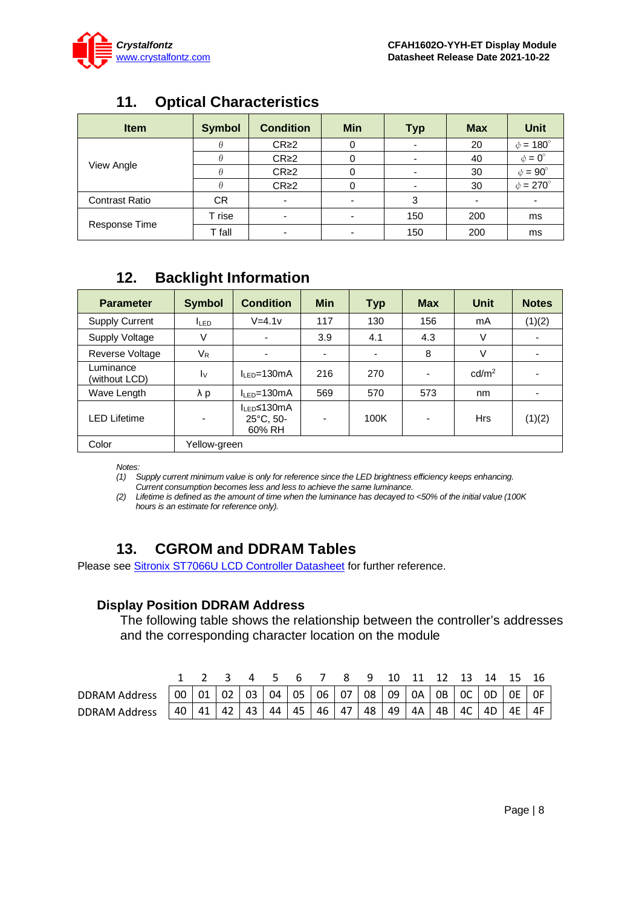

# **11. Optical Characteristics**

<span id="page-7-0"></span>

| <b>Item</b>           | <b>Symbol</b> | <b>Condition</b> | <b>Min</b> | <b>Typ</b> | <b>Max</b> | <b>Unit</b>        |
|-----------------------|---------------|------------------|------------|------------|------------|--------------------|
|                       |               | CR <sub>2</sub>  | 0          |            | 20         | $\phi = 180^\circ$ |
|                       |               | CR <sub>2</sub>  | 0          |            | 40         | $\phi = 0^{\circ}$ |
| View Angle            |               | CR <sub>2</sub>  | 0          |            | 30         | $\phi = 90^\circ$  |
|                       |               | CR <sub>2</sub>  | 0          |            | 30         | $\phi = 270^\circ$ |
| <b>Contrast Ratio</b> | <b>CR</b>     |                  |            | 3          |            |                    |
|                       | T rise        |                  |            | 150        | 200        | ms                 |
| Response Time         | T fall        |                  |            | 150        | 200        | ms                 |

# **12. Backlight Information**

<span id="page-7-1"></span>

| <b>Symbol</b><br><b>Parameter</b> |              | <b>Condition</b>                                         | <b>Min</b>               | <b>Typ</b> | <b>Max</b> | <b>Unit</b>       | <b>Notes</b> |  |
|-----------------------------------|--------------|----------------------------------------------------------|--------------------------|------------|------------|-------------------|--------------|--|
| <b>Supply Current</b>             | <b>ILED</b>  | $V=4.1v$                                                 | 117                      | 130        | 156        | mA                | (1)(2)       |  |
| Supply Voltage                    | V            | $\overline{\phantom{0}}$                                 | 3.9                      | 4.1        | 4.3        | V                 |              |  |
| Reverse Voltage                   | $V_{R}$      |                                                          |                          |            | 8          | V                 |              |  |
| Luminance<br>(without LCD)        | $I_{\rm V}$  | $I_{\text{F}}$ = 130 mA                                  | 216                      | 270        |            | cd/m <sup>2</sup> |              |  |
| Wave Length                       | $\lambda$ p  | $IIFD=130mA$                                             | 569                      | 570        | 573        | nm                |              |  |
| LED Lifetime                      |              | I <sub>LED</sub> ≤130mA<br>$25^{\circ}$ C, 50-<br>60% RH | $\overline{\phantom{0}}$ | 100K       |            | <b>Hrs</b>        | (1)(2)       |  |
| Color                             | Yellow-green |                                                          |                          |            |            |                   |              |  |

*Notes:* 

*(1) Supply current minimum value is only for reference since the LED brightness efficiency keeps enhancing. Current consumption becomes less and less to achieve the same luminance.* 

*(2) Lifetime is defined as the amount of time when the luminance has decayed to <50% of the initial value (100K hours is an estimate for reference only).*

### **13. CGROM and DDRAM Tables**

<span id="page-7-2"></span>Please see **Sitronix ST7066U LCD Controller Datasheet** for further reference.

### **Display Position DDRAM Address**

The following table shows the relationship between the controller's addresses and the corresponding character location on the module

|                      |  |  |  |  |  |  | 2 3 4 5 6 7 8 9 10 11 12 13 14 15 16                                                                                                                                            |  |
|----------------------|--|--|--|--|--|--|---------------------------------------------------------------------------------------------------------------------------------------------------------------------------------|--|
| <b>DDRAM Address</b> |  |  |  |  |  |  | $\vert$ 00 $\vert$ 01 $\vert$ 02 $\vert$ 03 $\vert$ 04 $\vert$ 05 $\vert$ 06 $\vert$ 07 $\vert$ 08 $\vert$ 09 $\vert$ 0A $\vert$ 0B $\vert$ 0C $\vert$ 0D $\vert$ 0E $\vert$ 0F |  |
| <b>DDRAM Address</b> |  |  |  |  |  |  | 40   41   42   43   44   45   46   47   48   49   4A   4B   4C   4D   4E                                                                                                        |  |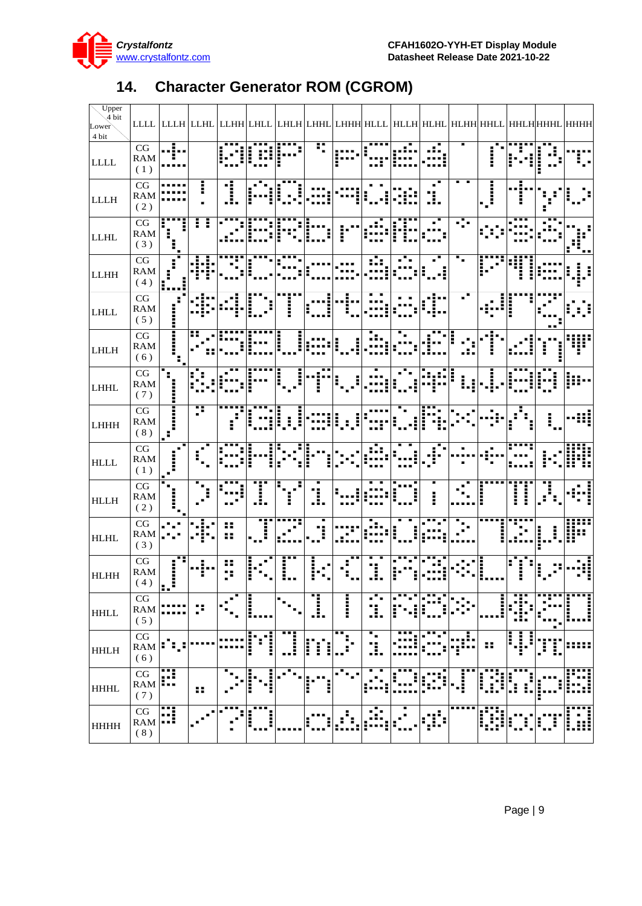

<span id="page-8-0"></span>

| $U$ pper                         |                                      |                            |                |    |                    |                           |             |                                                                                                            |                           |   |     |                   |                          |                   |                                             |      |
|----------------------------------|--------------------------------------|----------------------------|----------------|----|--------------------|---------------------------|-------------|------------------------------------------------------------------------------------------------------------|---------------------------|---|-----|-------------------|--------------------------|-------------------|---------------------------------------------|------|
| $\sqrt{4}$ bit<br>Lower<br>4 bit |                                      |                            |                |    |                    |                           |             | LLLL   LLLH   LLHL   LLHH  LHLL   LHLH  LHHL   LHHH  HLLL   HLLH   HLHL   HLHH   HHLL   HHLH   HHHL   HHHH |                           |   |     |                   |                          |                   |                                             |      |
| LLLL                             | $\overline{CG}$<br>RAM<br>(1)        |                            |                |    |                    |                           | Ŧ           |                                                                                                            |                           |   |     |                   |                          |                   |                                             |      |
| <b>LLLH</b>                      | CG<br><b>RAM</b><br>(2)              |                            | į              |    |                    |                           |             |                                                                                                            |                           |   | .!. |                   | $\prod_{i=1}^n$          |                   |                                             |      |
| <b>LLHL</b>                      | CG<br><b>RAM</b><br>(3)              |                            | Ŧ<br>I         |    |                    |                           |             |                                                                                                            |                           |   |     |                   |                          |                   |                                             |      |
| LLHH                             | CG<br>RAM<br>(4)                     | E                          |                |    |                    |                           |             |                                                                                                            |                           |   |     |                   |                          |                   |                                             |      |
| LHLL                             | $\mathbf{C}\mathbf{G}$<br>RAM<br>(5) |                            |                |    |                    |                           |             |                                                                                                            |                           |   |     |                   |                          |                   |                                             |      |
| <b>LHLH</b>                      | $\overline{CG}$<br>RAM<br>(6)        | j<br>J                     | 85             |    |                    |                           |             |                                                                                                            |                           |   |     |                   |                          |                   |                                             |      |
| <b>LHHL</b>                      | $\overline{CG}$<br><b>RAM</b><br>(7) |                            |                |    |                    | I                         |             |                                                                                                            |                           |   |     |                   |                          |                   |                                             |      |
| <b>LHHH</b>                      | $\overline{CG}$<br>RAM<br>(8)        | $\mathbb{L}^{\frac{1}{2}}$ |                |    |                    |                           |             |                                                                                                            |                           |   |     |                   |                          |                   |                                             |      |
| $\operatorname{HLLL}$            | $\overline{\text{CG}}$<br>RAM<br>(1) |                            |                |    |                    |                           |             |                                                                                                            |                           |   |     |                   |                          |                   |                                             |      |
| <b>HLLH</b>                      | CG<br>RAM<br>(2)                     |                            |                |    |                    |                           | .!.         |                                                                                                            |                           |   | Ì   |                   |                          | j                 |                                             |      |
| <b>HLHL</b>                      | CG<br><b>RAM</b><br>(3)              |                            |                | Ħ  |                    |                           |             |                                                                                                            |                           |   |     |                   |                          |                   |                                             |      |
| HLHH                             | $\mathbf{CG}$<br>RAM<br>(4)          | æ<br> , , i                |                |    |                    |                           |             |                                                                                                            |                           |   |     |                   |                          |                   | I                                           |      |
| <b>HHLL</b>                      | CG<br>${\rm RAM}$<br>(5)             |                            | p              |    |                    | $\mathbf{H}_{\mathbf{m}}$ | I.          | <b>COLORED</b>                                                                                             | □<br>                     |   |     |                   | Į                        | <br>Н             |                                             | I    |
| <b>HHLH</b>                      | $\mathbf{CG}$<br>RAM<br>(6)          | н.                         |                |    | ▆▆▆<br>ш<br>i<br>I | T,                        | Ë<br>I<br>Į | $\overline{\mathbf{r}}$<br>$\blacksquare$<br>H                                                             | ш<br>$\blacksquare$<br>Ĩ. |   |     | ,I.<br>п<br>i n n | ₩                        | Ĭ<br>Į.<br>Ì<br>■ | ֩ <u>֚֘</u> ֛֢֚֚֚֚֚֚֘֘֘֘֩֕֘֘֝֘׆֧֛֧֧֢֜<br>I. | :::: |
| <b>HHHL</b>                      | CG<br><b>RAM</b><br>(7)              | H                          | н              |    | I<br>.<br>.<br>.   | х<br>٠                    | ŀ<br>п      | П.                                                                                                         |                           | I | ٠,  | Ē<br>г            | ł<br>$\blacksquare$<br>l | H                 |                                             |      |
| <b>HHHH</b>                      | $\mathbf{CG}$<br>RAM<br>(8)          | H                          | $\blacksquare$ | ■■ | .<br>Į<br>į        |                           |             | H                                                                                                          | п<br>٠.<br>шÑ             | н |     |                   | W                        | Ē                 | Ī                                           | W    |

# **14. Character Generator ROM (CGROM)**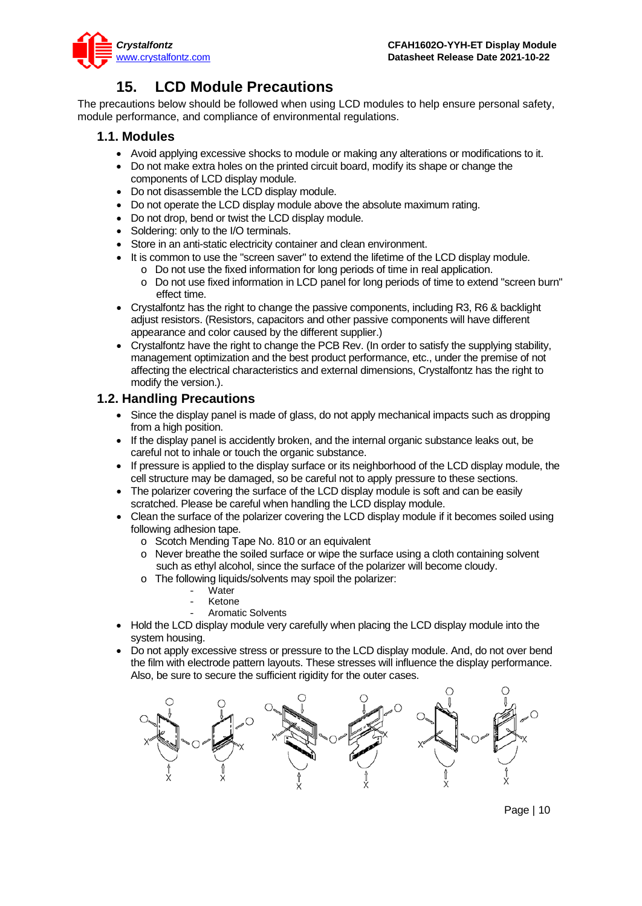

### **15. LCD Module Precautions**

<span id="page-9-0"></span>The precautions below should be followed when using LCD modules to help ensure personal safety, module performance, and compliance of environmental regulations.

#### **1.1. Modules**

- Avoid applying excessive shocks to module or making any alterations or modifications to it.
- Do not make extra holes on the printed circuit board, modify its shape or change the components of LCD display module.
- Do not disassemble the LCD display module.
- Do not operate the LCD display module above the absolute maximum rating.
- Do not drop, bend or twist the LCD display module.
- Soldering: only to the I/O terminals.
- Store in an anti-static electricity container and clean environment.
- It is common to use the "screen saver" to extend the lifetime of the LCD display module.
	- o Do not use the fixed information for long periods of time in real application.
	- o Do not use fixed information in LCD panel for long periods of time to extend "screen burn" effect time.
- Crystalfontz has the right to change the passive components, including R3, R6 & backlight adjust resistors. (Resistors, capacitors and other passive components will have different appearance and color caused by the different supplier.)
- Crystalfontz have the right to change the PCB Rev. (In order to satisfy the supplying stability, management optimization and the best product performance, etc., under the premise of not affecting the electrical characteristics and external dimensions, Crystalfontz has the right to modify the version.).

#### **1.2. Handling Precautions**

- Since the display panel is made of glass, do not apply mechanical impacts such as dropping from a high position.
- If the display panel is accidently broken, and the internal organic substance leaks out, be careful not to inhale or touch the organic substance.
- If pressure is applied to the display surface or its neighborhood of the LCD display module, the cell structure may be damaged, so be careful not to apply pressure to these sections.
- The polarizer covering the surface of the LCD display module is soft and can be easily scratched. Please be careful when handling the LCD display module.
- Clean the surface of the polarizer covering the LCD display module if it becomes soiled using following adhesion tape.
	- o Scotch Mending Tape No. 810 or an equivalent
	- o Never breathe the soiled surface or wipe the surface using a cloth containing solvent such as ethyl alcohol, since the surface of the polarizer will become cloudy.
	- o The following liquids/solvents may spoil the polarizer:
		- Water
		- **Ketone**
		- Aromatic Solvents
- Hold the LCD display module very carefully when placing the LCD display module into the system housing.
- Do not apply excessive stress or pressure to the LCD display module. And, do not over bend the film with electrode pattern layouts. These stresses will influence the display performance. Also, be sure to secure the sufficient rigidity for the outer cases.



Page | 10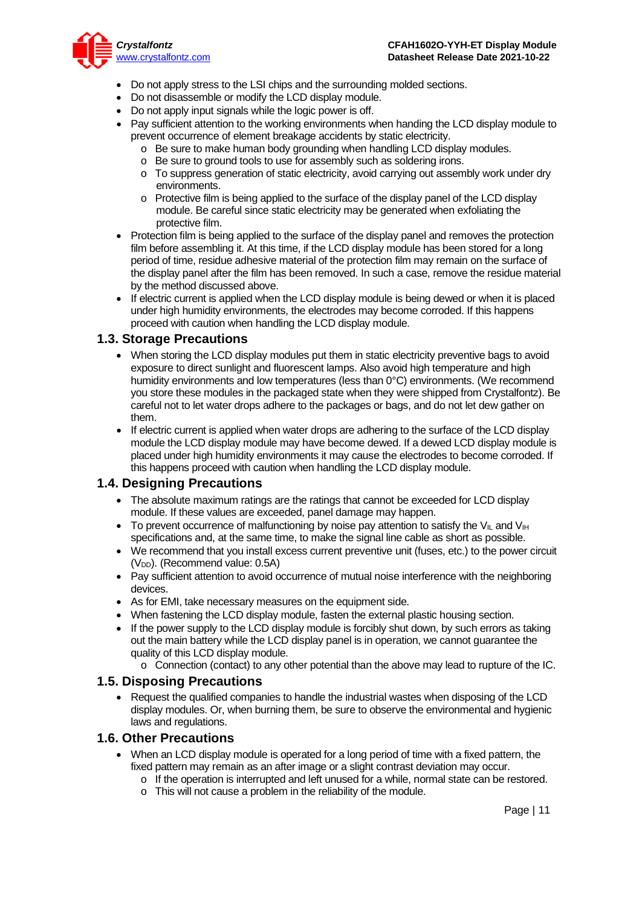

- Do not apply stress to the LSI chips and the surrounding molded sections.
- Do not disassemble or modify the LCD display module.
- Do not apply input signals while the logic power is off.
- Pay sufficient attention to the working environments when handing the LCD display module to prevent occurrence of element breakage accidents by static electricity.
	- $\circ$  Be sure to make human body grounding when handling LCD display modules.
	- o Be sure to ground tools to use for assembly such as soldering irons.
	- o To suppress generation of static electricity, avoid carrying out assembly work under dry environments.
	- o Protective film is being applied to the surface of the display panel of the LCD display module. Be careful since static electricity may be generated when exfoliating the protective film.
- Protection film is being applied to the surface of the display panel and removes the protection film before assembling it. At this time, if the LCD display module has been stored for a long period of time, residue adhesive material of the protection film may remain on the surface of the display panel after the film has been removed. In such a case, remove the residue material by the method discussed above.
- If electric current is applied when the LCD display module is being dewed or when it is placed under high humidity environments, the electrodes may become corroded. If this happens proceed with caution when handling the LCD display module.

#### **1.3. Storage Precautions**

- When storing the LCD display modules put them in static electricity preventive bags to avoid exposure to direct sunlight and fluorescent lamps. Also avoid high temperature and high humidity environments and low temperatures (less than 0°C) environments. (We recommend you store these modules in the packaged state when they were shipped from Crystalfontz). Be careful not to let water drops adhere to the packages or bags, and do not let dew gather on them.
- If electric current is applied when water drops are adhering to the surface of the LCD display module the LCD display module may have become dewed. If a dewed LCD display module is placed under high humidity environments it may cause the electrodes to become corroded. If this happens proceed with caution when handling the LCD display module.

#### **1.4. Designing Precautions**

- The absolute maximum ratings are the ratings that cannot be exceeded for LCD display module. If these values are exceeded, panel damage may happen.
- To prevent occurrence of malfunctioning by noise pay attention to satisfy the V<sub>IL</sub> and V<sub>IH</sub> specifications and, at the same time, to make the signal line cable as short as possible.
- We recommend that you install excess current preventive unit (fuses, etc.) to the power circuit (V<sub>DD</sub>). (Recommend value: 0.5A)
- Pay sufficient attention to avoid occurrence of mutual noise interference with the neighboring devices.
- As for EMI, take necessary measures on the equipment side.
- When fastening the LCD display module, fasten the external plastic housing section.
- If the power supply to the LCD display module is forcibly shut down, by such errors as taking out the main battery while the LCD display panel is in operation, we cannot guarantee the quality of this LCD display module.
	- o Connection (contact) to any other potential than the above may lead to rupture of the IC.

#### **1.5. Disposing Precautions**

• Request the qualified companies to handle the industrial wastes when disposing of the LCD display modules. Or, when burning them, be sure to observe the environmental and hygienic laws and regulations.

#### **1.6. Other Precautions**

- When an LCD display module is operated for a long period of time with a fixed pattern, the fixed pattern may remain as an after image or a slight contrast deviation may occur.
	- $\circ$  If the operation is interrupted and left unused for a while, normal state can be restored.
	- o This will not cause a problem in the reliability of the module.